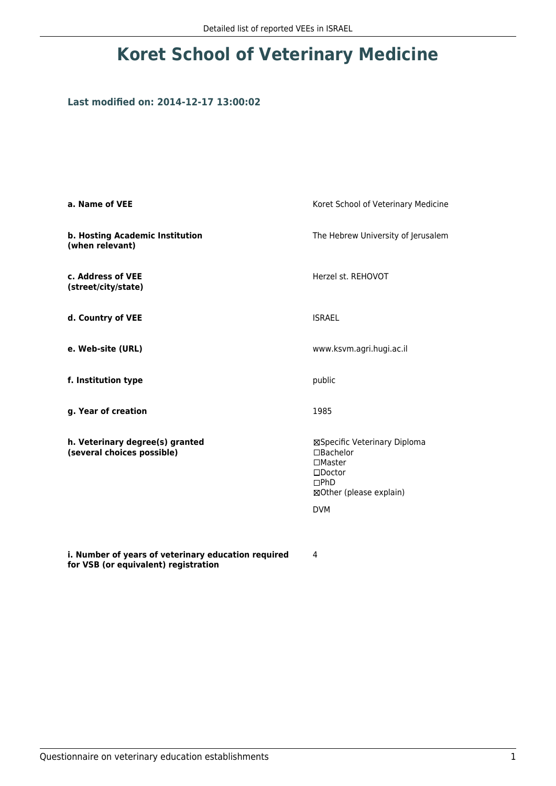## **Koret School of Veterinary Medicine**

## **Last modified on: 2014-12-17 13:00:02**

| a. Name of VEE                                                | Koret School of Veterinary Medicine                                                                                             |  |
|---------------------------------------------------------------|---------------------------------------------------------------------------------------------------------------------------------|--|
| b. Hosting Academic Institution<br>(when relevant)            | The Hebrew University of Jerusalem                                                                                              |  |
| c. Address of VEE<br>(street/city/state)                      | Herzel st. REHOVOT                                                                                                              |  |
| d. Country of VEE                                             | <b>ISRAEL</b>                                                                                                                   |  |
| e. Web-site (URL)                                             | www.ksvm.agri.hugi.ac.il                                                                                                        |  |
| f. Institution type                                           | public<br>1985                                                                                                                  |  |
| g. Year of creation                                           |                                                                                                                                 |  |
| h. Veterinary degree(s) granted<br>(several choices possible) | ⊠Specific Veterinary Diploma<br>□Bachelor<br>$\Box$ Master<br>$\square$ Doctor<br>DPhD<br>⊠Other (please explain)<br><b>DVM</b> |  |
| i. Number of years of veterinary education required           | 4                                                                                                                               |  |

**for VSB (or equivalent) registration**

4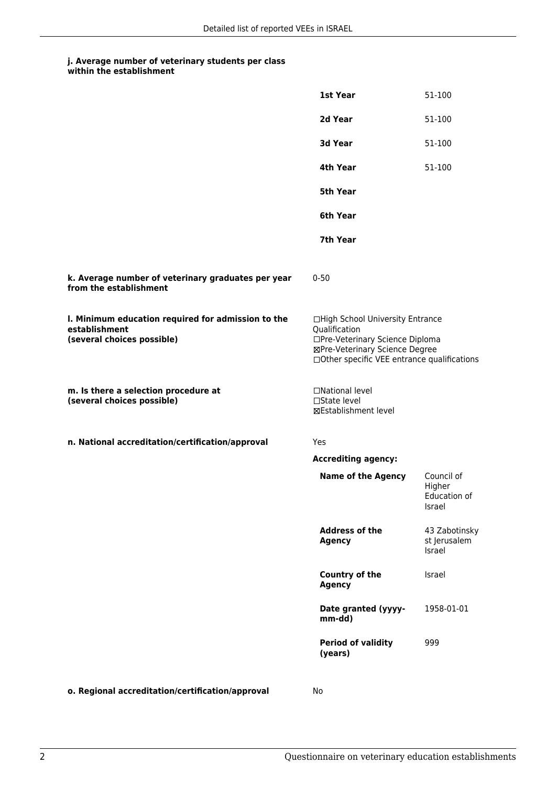## **j. Average number of veterinary students per class within the establishment**

|                                                                                                   | 1st Year                                                                                                                                                              | 51-100                                         |
|---------------------------------------------------------------------------------------------------|-----------------------------------------------------------------------------------------------------------------------------------------------------------------------|------------------------------------------------|
|                                                                                                   | 2d Year                                                                                                                                                               | 51-100                                         |
|                                                                                                   | 3d Year                                                                                                                                                               | 51-100                                         |
|                                                                                                   | 4th Year                                                                                                                                                              | 51-100                                         |
|                                                                                                   | <b>5th Year</b>                                                                                                                                                       |                                                |
|                                                                                                   | 6th Year                                                                                                                                                              |                                                |
|                                                                                                   | 7th Year                                                                                                                                                              |                                                |
| k. Average number of veterinary graduates per year<br>from the establishment                      | $0 - 50$                                                                                                                                                              |                                                |
| I. Minimum education required for admission to the<br>establishment<br>(several choices possible) | □High School University Entrance<br>Qualification<br>□Pre-Veterinary Science Diploma<br>⊠Pre-Veterinary Science Degree<br>□Other specific VEE entrance qualifications |                                                |
| m. Is there a selection procedure at<br>(several choices possible)                                | □National level<br>□State level<br>⊠Establishment level                                                                                                               |                                                |
| n. National accreditation/certification/approval                                                  | Yes                                                                                                                                                                   |                                                |
|                                                                                                   | <b>Accrediting agency:</b>                                                                                                                                            |                                                |
|                                                                                                   | <b>Name of the Agency</b>                                                                                                                                             | Council of<br>Higher<br>Education of<br>Israel |
|                                                                                                   | <b>Address of the</b><br><b>Agency</b>                                                                                                                                | 43 Zabotinsky<br>st Jerusalem<br>Israel        |
|                                                                                                   | <b>Country of the</b><br><b>Agency</b>                                                                                                                                | Israel                                         |
|                                                                                                   | Date granted (yyyy-<br>mm-dd)                                                                                                                                         | 1958-01-01                                     |
|                                                                                                   | <b>Period of validity</b><br>(years)                                                                                                                                  | 999                                            |
|                                                                                                   |                                                                                                                                                                       |                                                |

**o. Regional accreditation/certification/approval** No